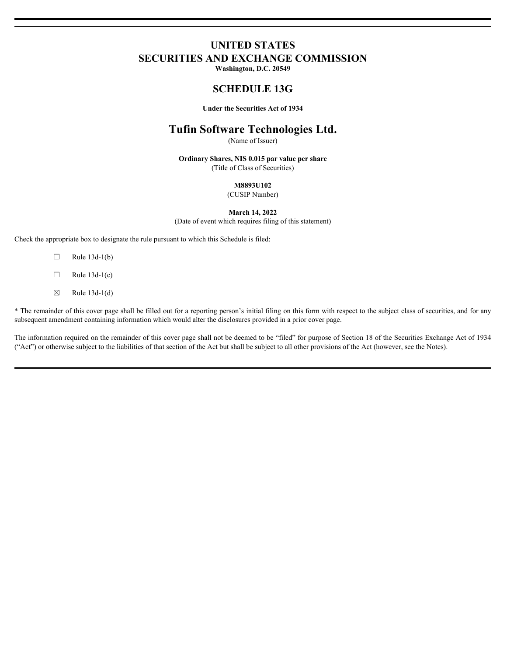# **UNITED STATES SECURITIES AND EXCHANGE COMMISSION**

**Washington, D.C. 20549**

# **SCHEDULE 13G**

**Under the Securities Act of 1934**

# **Tufin Software Technologies Ltd.**

(Name of Issuer)

**Ordinary Shares, NIS 0.015 par value per share**

(Title of Class of Securities)

## **M8893U102**

(CUSIP Number)

**March 14, 2022**

(Date of event which requires filing of this statement)

Check the appropriate box to designate the rule pursuant to which this Schedule is filed:

 $\Box$  Rule 13d-1(b)

 $\Box$  Rule 13d-1(c)

 $\boxtimes$  Rule 13d-1(d)

\* The remainder of this cover page shall be filled out for a reporting person's initial filing on this form with respect to the subject class of securities, and for any subsequent amendment containing information which would alter the disclosures provided in a prior cover page.

The information required on the remainder of this cover page shall not be deemed to be "filed" for purpose of Section 18 of the Securities Exchange Act of 1934 ("Act") or otherwise subject to the liabilities of that section of the Act but shall be subject to all other provisions of the Act (however, see the Notes).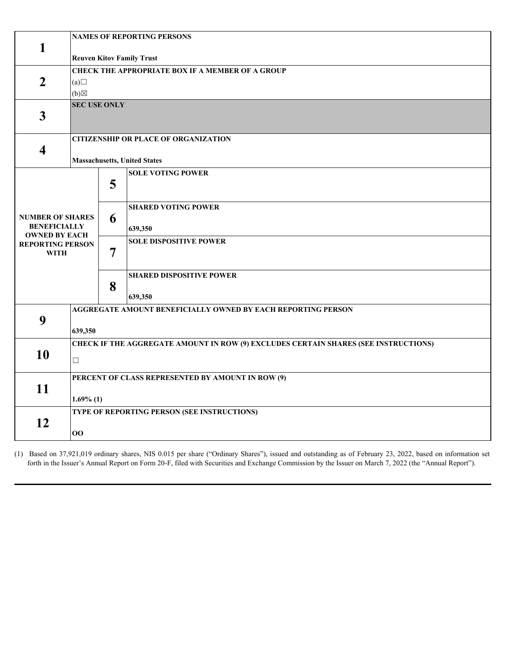|                                             | <b>NAMES OF REPORTING PERSONS</b>                                                   |                                             |                                 |  |  |  |  |
|---------------------------------------------|-------------------------------------------------------------------------------------|---------------------------------------------|---------------------------------|--|--|--|--|
| 1                                           | <b>Reuven Kitov Family Trust</b>                                                    |                                             |                                 |  |  |  |  |
|                                             | <b>CHECK THE APPROPRIATE BOX IF A MEMBER OF A GROUP</b>                             |                                             |                                 |  |  |  |  |
| $\overline{2}$                              | (a)                                                                                 |                                             |                                 |  |  |  |  |
|                                             | $(b) \boxtimes$                                                                     |                                             |                                 |  |  |  |  |
|                                             | <b>SEC USE ONLY</b>                                                                 |                                             |                                 |  |  |  |  |
| $\mathbf{3}$                                |                                                                                     |                                             |                                 |  |  |  |  |
|                                             | <b>CITIZENSHIP OR PLACE OF ORGANIZATION</b>                                         |                                             |                                 |  |  |  |  |
| $\overline{\mathbf{4}}$                     |                                                                                     |                                             |                                 |  |  |  |  |
|                                             | <b>Massachusetts, United States</b>                                                 |                                             |                                 |  |  |  |  |
|                                             |                                                                                     |                                             | <b>SOLE VOTING POWER</b>        |  |  |  |  |
|                                             |                                                                                     | 5                                           |                                 |  |  |  |  |
|                                             |                                                                                     |                                             | <b>SHARED VOTING POWER</b>      |  |  |  |  |
| <b>NUMBER OF SHARES</b>                     |                                                                                     | 6                                           |                                 |  |  |  |  |
| <b>BENEFICIALLY</b><br><b>OWNED BY EACH</b> |                                                                                     |                                             | 639,350                         |  |  |  |  |
| <b>REPORTING PERSON</b>                     |                                                                                     |                                             | <b>SOLE DISPOSITIVE POWER</b>   |  |  |  |  |
| <b>WITH</b>                                 |                                                                                     | $\overline{7}$                              |                                 |  |  |  |  |
|                                             |                                                                                     |                                             | <b>SHARED DISPOSITIVE POWER</b> |  |  |  |  |
|                                             |                                                                                     | 8                                           |                                 |  |  |  |  |
|                                             |                                                                                     |                                             | 639,350                         |  |  |  |  |
| 9                                           | AGGREGATE AMOUNT BENEFICIALLY OWNED BY EACH REPORTING PERSON                        |                                             |                                 |  |  |  |  |
|                                             | 639,350                                                                             |                                             |                                 |  |  |  |  |
| 10                                          | CHECK IF THE AGGREGATE AMOUNT IN ROW (9) EXCLUDES CERTAIN SHARES (SEE INSTRUCTIONS) |                                             |                                 |  |  |  |  |
|                                             | $\Box$                                                                              |                                             |                                 |  |  |  |  |
|                                             |                                                                                     |                                             |                                 |  |  |  |  |
| 11                                          | PERCENT OF CLASS REPRESENTED BY AMOUNT IN ROW (9)                                   |                                             |                                 |  |  |  |  |
|                                             | $1.69\%$ (1)                                                                        |                                             |                                 |  |  |  |  |
|                                             |                                                                                     | TYPE OF REPORTING PERSON (SEE INSTRUCTIONS) |                                 |  |  |  |  |
| 12                                          |                                                                                     |                                             |                                 |  |  |  |  |
|                                             | 00                                                                                  |                                             |                                 |  |  |  |  |

(1) Based on 37,921,019 ordinary shares, NIS 0.015 per share ("Ordinary Shares"), issued and outstanding as of February 23, 2022, based on information set forth in the Issuer's Annual Report on Form 20-F, filed with Securities and Exchange Commission by the Issuer on March 7, 2022 (the "Annual Report").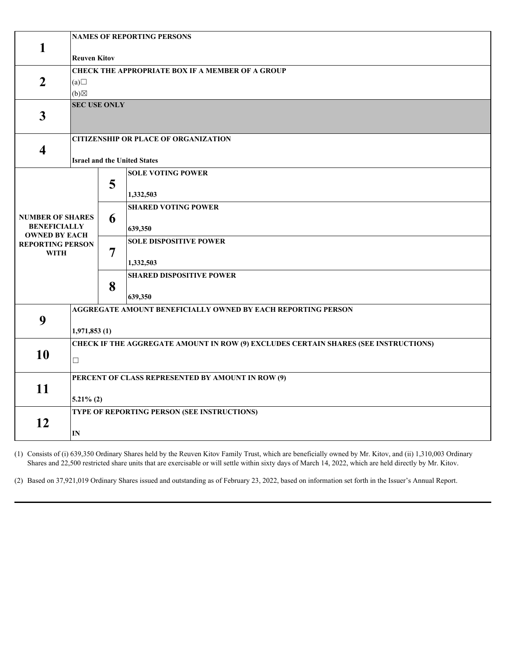|                                             | <b>NAMES OF REPORTING PERSONS</b>                                                   |                                             |                                 |  |  |  |  |
|---------------------------------------------|-------------------------------------------------------------------------------------|---------------------------------------------|---------------------------------|--|--|--|--|
| 1                                           | <b>Reuven Kitov</b>                                                                 |                                             |                                 |  |  |  |  |
|                                             | <b>CHECK THE APPROPRIATE BOX IF A MEMBER OF A GROUP</b>                             |                                             |                                 |  |  |  |  |
| $\overline{2}$                              | (a)                                                                                 |                                             |                                 |  |  |  |  |
|                                             | $(b) \boxtimes$                                                                     |                                             |                                 |  |  |  |  |
|                                             | <b>SEC USE ONLY</b>                                                                 |                                             |                                 |  |  |  |  |
| $\mathbf{3}$                                |                                                                                     |                                             |                                 |  |  |  |  |
|                                             | <b>CITIZENSHIP OR PLACE OF ORGANIZATION</b>                                         |                                             |                                 |  |  |  |  |
| $\overline{\mathbf{4}}$                     |                                                                                     |                                             |                                 |  |  |  |  |
|                                             | <b>Israel and the United States</b>                                                 |                                             |                                 |  |  |  |  |
|                                             |                                                                                     | 5                                           | <b>SOLE VOTING POWER</b>        |  |  |  |  |
|                                             |                                                                                     |                                             | 1,332,503                       |  |  |  |  |
|                                             |                                                                                     |                                             | <b>SHARED VOTING POWER</b>      |  |  |  |  |
| <b>NUMBER OF SHARES</b>                     |                                                                                     | 6                                           |                                 |  |  |  |  |
| <b>BENEFICIALLY</b><br><b>OWNED BY EACH</b> |                                                                                     |                                             | 639,350                         |  |  |  |  |
| <b>REPORTING PERSON</b>                     |                                                                                     | $\overline{7}$                              | <b>SOLE DISPOSITIVE POWER</b>   |  |  |  |  |
| <b>WITH</b>                                 |                                                                                     |                                             | 1,332,503                       |  |  |  |  |
|                                             |                                                                                     |                                             | <b>SHARED DISPOSITIVE POWER</b> |  |  |  |  |
|                                             |                                                                                     | 8                                           |                                 |  |  |  |  |
|                                             |                                                                                     |                                             | 639,350                         |  |  |  |  |
| 9                                           | AGGREGATE AMOUNT BENEFICIALLY OWNED BY EACH REPORTING PERSON                        |                                             |                                 |  |  |  |  |
|                                             | 1,971,853(1)                                                                        |                                             |                                 |  |  |  |  |
| 10                                          | CHECK IF THE AGGREGATE AMOUNT IN ROW (9) EXCLUDES CERTAIN SHARES (SEE INSTRUCTIONS) |                                             |                                 |  |  |  |  |
|                                             | $\Box$                                                                              |                                             |                                 |  |  |  |  |
|                                             |                                                                                     |                                             |                                 |  |  |  |  |
| 11                                          | PERCENT OF CLASS REPRESENTED BY AMOUNT IN ROW (9)                                   |                                             |                                 |  |  |  |  |
|                                             | $5.21\%$ (2)                                                                        |                                             |                                 |  |  |  |  |
|                                             |                                                                                     | TYPE OF REPORTING PERSON (SEE INSTRUCTIONS) |                                 |  |  |  |  |
| 12                                          | IN                                                                                  |                                             |                                 |  |  |  |  |
|                                             |                                                                                     |                                             |                                 |  |  |  |  |

(1) Consists of (i) 639,350 Ordinary Shares held by the Reuven Kitov Family Trust, which are beneficially owned by Mr. Kitov, and (ii) 1,310,003 Ordinary Shares and 22,500 restricted share units that are exercisable or will settle within sixty days of March 14, 2022, which are held directly by Mr. Kitov.

(2) Based on 37,921,019 Ordinary Shares issued and outstanding as of February 23, 2022, based on information set forth in the Issuer's Annual Report.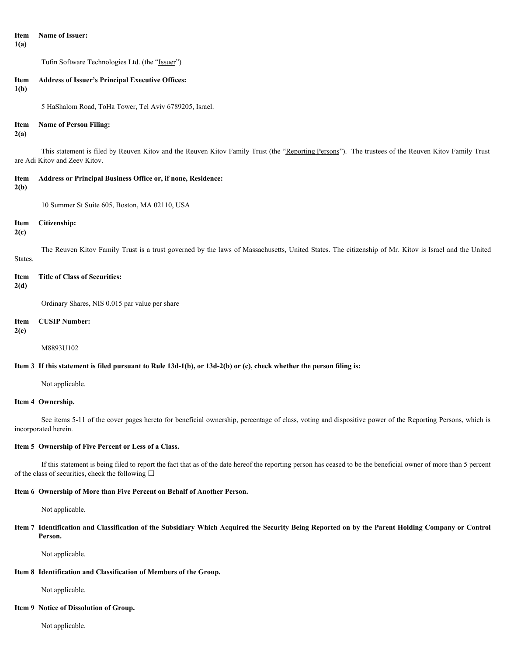## **Item Name of Issuer: 1(a)**

Tufin Software Technologies Ltd. (the "Issuer")

## **Item Address of Issuer's Principal Executive Offices:**

**1(b)**

5 HaShalom Road, ToHa Tower, Tel Aviv 6789205, Israel.

### **Item Name of Person Filing:**

### **2(a)**

This statement is filed by Reuven Kitov and the Reuven Kitov Family Trust (the "Reporting Persons"). The trustees of the Reuven Kitov Family Trust are Adi Kitov and Zeev Kitov.

### **Item Address or Principal Business Office or, if none, Residence:**

#### **2(b)**

10 Summer St Suite 605, Boston, MA 02110, USA

#### **Item Citizenship:**

**2(c)**

The Reuven Kitov Family Trust is a trust governed by the laws of Massachusetts, United States. The citizenship of Mr. Kitov is Israel and the United States.

**Item Title of Class of Securities:**

### **2(d)**

Ordinary Shares, NIS 0.015 par value per share

## **Item CUSIP Number:**

#### **2(e)**

M8893U102

### **Item 3 If this statement is filed pursuant to Rule 13d-1(b), or 13d-2(b) or (c), check whether the person filing is:**

Not applicable.

#### **Item 4 Ownership.**

See items 5-11 of the cover pages hereto for beneficial ownership, percentage of class, voting and dispositive power of the Reporting Persons, which is incorporated herein.

# **Item 5 Ownership of Five Percent or Less of a Class.**

If this statement is being filed to report the fact that as of the date hereof the reporting person has ceased to be the beneficial owner of more than 5 percent of the class of securities, check the following  $\Box$ 

#### **Item 6 Ownership of More than Five Percent on Behalf of Another Person.**

Not applicable.

**Item 7 Identification and Classification of the Subsidiary Which Acquired the Security Being Reported on by the Parent Holding Company or Control Person.**

Not applicable.

## **Item 8 Identification and Classification of Members of the Group.**

Not applicable.

### **Item 9 Notice of Dissolution of Group.**

Not applicable.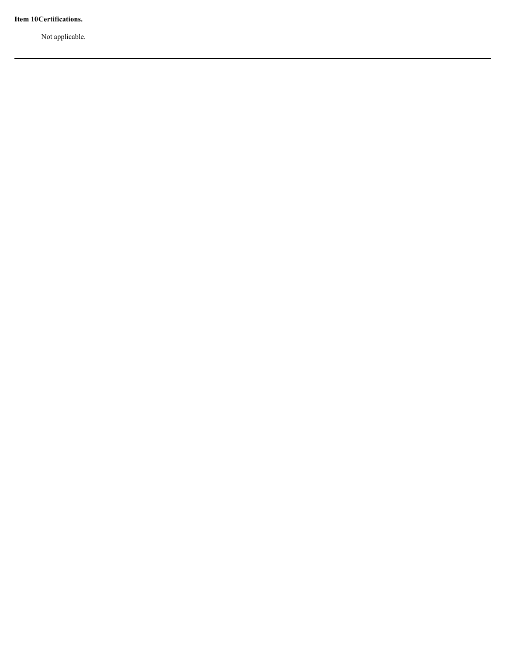**Item 10Certifications.**

Not applicable.